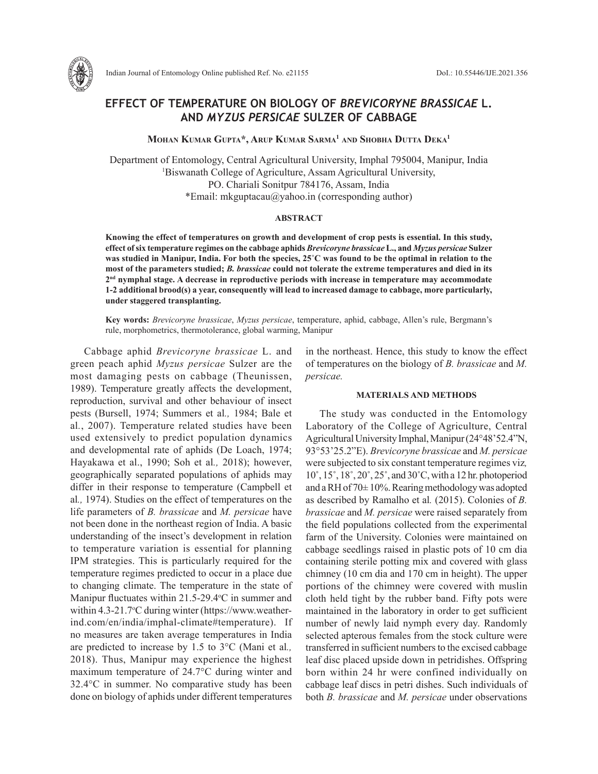

Indian Journal of Entomology Online published Ref. No. e21155 DoI.: 10.55446/IJE.2021.356

# **EFFECT OF TEMPERATURE ON BIOLOGY OF** *BREVICORYNE BRASSICAE* **L. AND** *MYZUS PERSICAE* **SULZER OF CABBAGE**

**Mohan Kumar Gupta\*, Arup Kumar Sarma1 and Shobha Dutta Deka1**

Department of Entomology, Central Agricultural University, Imphal 795004, Manipur, India 1 Biswanath College of Agriculture, Assam Agricultural University, PO. Chariali Sonitpur 784176, Assam, India \*Email: mkguptacau@yahoo.in (corresponding author)

#### **ABSTRACT**

**Knowing the effect of temperatures on growth and development of crop pests is essential. In this study, effect of six temperature regimes on the cabbage aphids** *Brevicoryne brassicae* **L., and** *Myzus persicae* **Sulzer was studied in Manipur, India. For both the species, 25˚C was found to be the optimal in relation to the most of the parameters studied;** *B. brassicae* **could not tolerate the extreme temperatures and died in its 2nd nymphal stage. A decrease in reproductive periods with increase in temperature may accommodate 1-2 additional brood(s) a year, consequently will lead to increased damage to cabbage, more particularly, under staggered transplanting.** 

**Key words:** *Brevicoryne brassicae*, *Myzus persicae*, temperature, aphid, cabbage, Allen's rule, Bergmann's rule, morphometrics, thermotolerance, global warming, Manipur

Cabbage aphid *Brevicoryne brassicae* L. and green peach aphid *Myzus persicae* Sulzer are the most damaging pests on cabbage (Theunissen, 1989). Temperature greatly affects the development, reproduction, survival and other behaviour of insect pests (Bursell, 1974; Summers et al*.,* 1984; Bale et al*.*, 2007). Temperature related studies have been used extensively to predict population dynamics and developmental rate of aphids (De Loach, 1974; Hayakawa et al., 1990; Soh et al*.,* 2018); however, geographically separated populations of aphids may differ in their response to temperature (Campbell et al*.,* 1974). Studies on the effect of temperatures on the life parameters of *B. brassicae* and *M. persicae* have not been done in the northeast region of India. A basic understanding of the insect's development in relation to temperature variation is essential for planning IPM strategies. This is particularly required for the temperature regimes predicted to occur in a place due to changing climate. The temperature in the state of Manipur fluctuates within  $21.5-29.4$ °C in summer and within 4.3-21.7°C during winter (https://www.weatherind.com/en/india/imphal-climate#temperature). If no measures are taken average temperatures in India are predicted to increase by 1.5 to 3°C (Mani et al*.,*  2018). Thus, Manipur may experience the highest maximum temperature of 24.7°C during winter and 32.4°C in summer. No comparative study has been done on biology of aphids under different temperatures

in the northeast. Hence, this study to know the effect of temperatures on the biology of *B. brassicae* and *M. persicae.*

### **MATERIALS AND METHODS**

The study was conducted in the Entomology Laboratory of the College of Agriculture, Central Agricultural University Imphal, Manipur (24°48'52.4"N, 93°53'25.2"E). *Brevicoryne brassicae* and *M. persicae* were subjected to six constant temperature regimes viz*,*  10˚, 15˚, 18˚, 20˚, 25˚, and 30˚C, with a 12 hr. photoperiod and a RH of  $70\pm 10\%$ . Rearing methodology was adopted as described by Ramalho et al*.* (2015). Colonies of *B. brassicae* and *M. persicae* were raised separately from the field populations collected from the experimental farm of the University. Colonies were maintained on cabbage seedlings raised in plastic pots of 10 cm dia containing sterile potting mix and covered with glass chimney (10 cm dia and 170 cm in height). The upper portions of the chimney were covered with muslin cloth held tight by the rubber band. Fifty pots were maintained in the laboratory in order to get sufficient number of newly laid nymph every day. Randomly selected apterous females from the stock culture were transferred in sufficient numbers to the excised cabbage leaf disc placed upside down in petridishes. Offspring born within 24 hr were confined individually on cabbage leaf discs in petri dishes. Such individuals of both *B. brassicae* and *M. persicae* under observations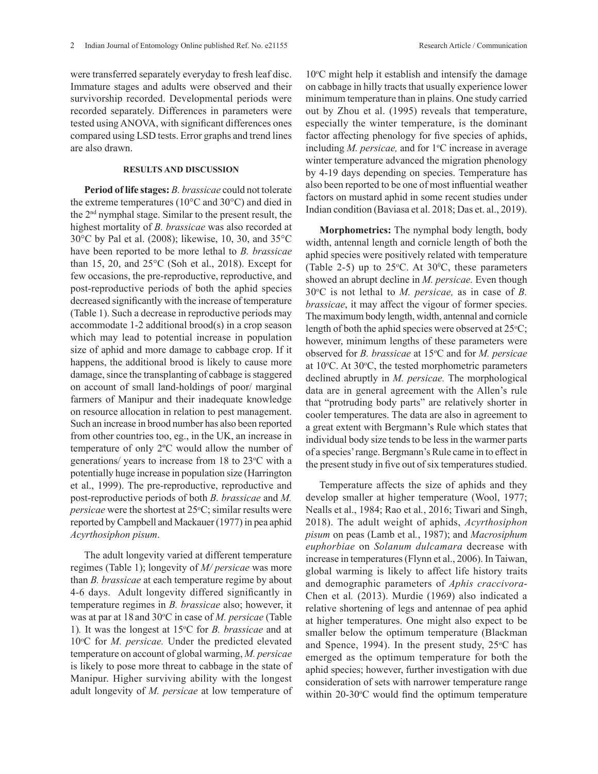were transferred separately everyday to fresh leaf disc. Immature stages and adults were observed and their survivorship recorded. Developmental periods were recorded separately. Differences in parameters were tested using ANOVA, with significant differences ones compared using LSD tests. Error graphs and trend lines are also drawn.

## **RESULTS AND DISCUSSION**

**Period of life stages:** *B. brassicae* could not tolerate the extreme temperatures (10°C and 30°C) and died in the 2nd nymphal stage. Similar to the present result, the highest mortality of *B. brassicae* was also recorded at 30°C by Pal et al. (2008); likewise, 10, 30, and 35°C have been reported to be more lethal to *B. brassicae*  than 15, 20, and  $25^{\circ}$ C (Soh et al., 2018). Except for few occasions, the pre-reproductive, reproductive, and post-reproductive periods of both the aphid species decreased significantly with the increase of temperature (Table 1). Such a decrease in reproductive periods may accommodate 1-2 additional brood(s) in a crop season which may lead to potential increase in population size of aphid and more damage to cabbage crop. If it happens, the additional brood is likely to cause more damage, since the transplanting of cabbage is staggered on account of small land-holdings of poor/ marginal farmers of Manipur and their inadequate knowledge on resource allocation in relation to pest management. Such an increase in brood number has also been reported from other countries too, eg., in the UK, an increase in temperature of only 2ºC would allow the number of generations/ years to increase from 18 to 23°C with a potentially huge increase in population size (Harrington et al., 1999). The pre-reproductive, reproductive and post-reproductive periods of both *B. brassicae* and *M. persicae* were the shortest at 25<sup>o</sup>C; similar results were reported by Campbell and Mackauer (1977) in pea aphid *Acyrthosiphon pisum*.

The adult longevity varied at different temperature regimes (Table 1); longevity of *M/ persicae* was more than *B. brassicae* at each temperature regime by about 4-6 days. Adult longevity differed significantly in temperature regimes in *B. brassicae* also; however, it was at par at 18 and 30°C in case of *M. persicae* (Table 1). It was the longest at 15<sup>o</sup>C for *B. brassicae* and at 10°C for *M. persicae*. Under the predicted elevated temperature on account of global warming, *M. persicae* is likely to pose more threat to cabbage in the state of Manipur. Higher surviving ability with the longest adult longevity of *M. persicae* at low temperature of

10°C might help it establish and intensify the damage on cabbage in hilly tracts that usually experience lower minimum temperature than in plains. One study carried out by Zhou et al. (1995) reveals that temperature, especially the winter temperature, is the dominant factor affecting phenology for five species of aphids, including *M. persicae*, and for 1<sup>o</sup>C increase in average winter temperature advanced the migration phenology by 4-19 days depending on species. Temperature has also been reported to be one of most influential weather factors on mustard aphid in some recent studies under Indian condition (Baviasa et al. 2018; Das et. al., 2019).

**Morphometrics:** The nymphal body length, body width, antennal length and cornicle length of both the aphid species were positively related with temperature (Table 2-5) up to  $25^{\circ}$ C. At  $30^{\circ}$ C, these parameters showed an abrupt decline in *M. persicae.* Even though 30<sup>o</sup>C is not lethal to *M. persicae*, as in case of *B. brassicae*, it may affect the vigour of former species. The maximum body length, width, antennal and cornicle length of both the aphid species were observed at  $25^{\circ}$ C; however, minimum lengths of these parameters were observed for *B. brassicae* at 15°C and for *M. persicae* at  $10^{\circ}$ C. At  $30^{\circ}$ C, the tested morphometric parameters declined abruptly in *M. persicae.* The morphological data are in general agreement with the Allen's rule that "protruding body parts" are relatively shorter in cooler temperatures. The data are also in agreement to a great extent with Bergmann's Rule which states that individual body size tends to be less in the warmer parts of a species' range. Bergmann's Rule came in to effect in the present study in five out of six temperatures studied.

Temperature affects the size of aphids and they develop smaller at higher temperature (Wool, 1977; Nealls et al., 1984; Rao et al*.*, 2016; Tiwari and Singh, 2018). The adult weight of aphids, *Acyrthosiphon pisum* on peas (Lamb et al*.*, 1987); and *Macrosiphum euphorbiae* on *Solanum dulcamara* decrease with increase in temperatures (Flynn et al., 2006). In Taiwan, global warming is likely to affect life history traits and demographic parameters of *Aphis craccivora*-Chen et al*.* (2013). Murdie (1969) also indicated a relative shortening of legs and antennae of pea aphid at higher temperatures. One might also expect to be smaller below the optimum temperature (Blackman and Spence, 1994). In the present study,  $25^{\circ}$ C has emerged as the optimum temperature for both the aphid species; however, further investigation with due consideration of sets with narrower temperature range within  $20-30$ <sup>o</sup>C would find the optimum temperature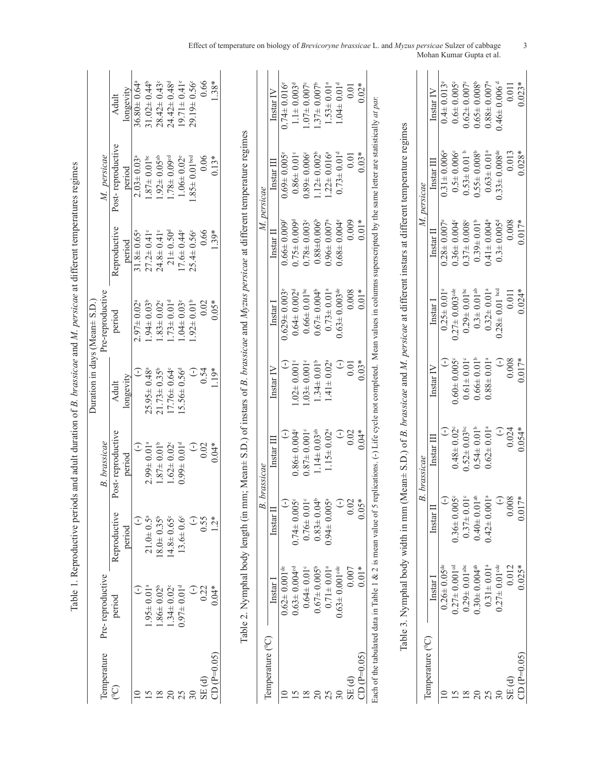|        | Table 1. Reproductive periods and adult duration of <i>B. brassicae</i> and <i>M. persicae</i> at different temperatures regimes |                                  |                               |                               |                                |                               |                                                                                                                                                                                            |                               |
|--------|----------------------------------------------------------------------------------------------------------------------------------|----------------------------------|-------------------------------|-------------------------------|--------------------------------|-------------------------------|--------------------------------------------------------------------------------------------------------------------------------------------------------------------------------------------|-------------------------------|
|        | Pre-reproductive                                                                                                                 |                                  | <b>B.</b> brassicae           | Duration in days (Mean± S.D.  | Pre-reproductive               |                               | M. persicae                                                                                                                                                                                |                               |
| period |                                                                                                                                  | Reproductive                     | Post-reproductive             | Adult                         | period                         | Reproductive                  | Post-reproductive                                                                                                                                                                          | Adult                         |
|        |                                                                                                                                  | period                           | period                        | longevity                     |                                | period                        | period                                                                                                                                                                                     | longevity                     |
|        | C                                                                                                                                | Ξ                                | J                             |                               | $2.97\pm 0.02$                 | $31.8 \pm 0.65^{\circ}$       | $2.03 \pm 0.03$ <sup>a</sup>                                                                                                                                                               | $36.80 \pm 0.64$ <sup>a</sup> |
|        | $1.95 \pm 0.01$ <sup>a</sup>                                                                                                     | $21.0 + 0.5^{a}$                 | $2.99 \pm 0.01$ <sup>a</sup>  | $25.95 \pm 0.48^a$            | $1.94 \pm 0.03$ <sup>b</sup>   | $27.2 \pm 0.41$ °             | $1.87 \pm 0.01$ bc                                                                                                                                                                         | $31.02 \pm 0.44^b$            |
|        | $.86 \pm 0.02^b$                                                                                                                 | $18.0 \pm 0.35^{\circ}$          | $1.87 \pm 0.01$ <sup>b</sup>  | $21.73 \pm 0.35^b$            | $.83 \pm 0.02$ <sup>c</sup>    | $24.8 \pm 0.41$ °             | $1.92 \pm 0.05$ <sup>ab</sup>                                                                                                                                                              | $28.42 \pm 0.43$ °            |
|        | $1.34 \pm 0.02$ <sup>c</sup>                                                                                                     | $14.8 \pm 0.65$ °                | $1.62 \pm 0.02$ <sup>c</sup>  | $17.76 \pm 0.64$ <sup>c</sup> | $1.73 \pm 0.01d$               | $21 \pm 0.50$ <sup>d</sup>    | $1.78 \pm 0.09$ <sup>od</sup>                                                                                                                                                              | $24.42 \pm 0.48$ <sup>d</sup> |
|        | $0.97 \pm 0.01$ <sup>d</sup>                                                                                                     | $13.6 \pm 0.6^{\circ}$           | $0.99 \pm 0.01$ <sup>d</sup>  | $15.56 \pm 0.56$ <sup>d</sup> | $1.04 \pm 0.03$ <sup>e</sup>   | $17.6 \pm 0.44$ <sup>e</sup>  | $1.06 \pm 0.02$ <sup>e</sup>                                                                                                                                                               | $19.71 \pm 0.41$ <sup>e</sup> |
|        |                                                                                                                                  | $\widehat{\cdot}$                | $\bigcirc$                    | $\widehat{\cdot}$             | $.92 \pm 0.01$ <sup>b</sup>    | $25.4 \pm 0.56$ °             | $1.85 \pm 0.01$ bed                                                                                                                                                                        | $29.19 \pm 0.56$ °            |
|        | $\frac{1}{2}$                                                                                                                    | 0.55                             | 0.02                          | 0.54                          | 0.02                           | 0.66                          | 0.06                                                                                                                                                                                       | 0.66                          |
|        | $0.04*$                                                                                                                          | $\ddot{c}$                       | $0.04*$                       | $1.19*$                       | $0.05*$                        | $1.39*$                       | $0.13*$                                                                                                                                                                                    | $1.38*$                       |
|        |                                                                                                                                  | Table 2. Nymphal body length (in |                               |                               |                                |                               | mm; Mean $\pm$ S.D.) of instars of B. brassicae and Myzus persicae at different temperature regimes                                                                                        |                               |
|        |                                                                                                                                  |                                  | B. brassicae                  |                               |                                |                               | persicae                                                                                                                                                                                   |                               |
|        | Instar I                                                                                                                         | Instar                           | Instar III                    | Instar IV                     | Instar I                       | Instar II                     | Instar III                                                                                                                                                                                 | Instar IV                     |
|        | $0.62 \pm 0.001$ <sup>de</sup>                                                                                                   | $\bigcirc$                       |                               | E                             | $0.629 \pm 0.003$ <sup>e</sup> | $0.66 \pm 0.009$              | $0.69 \pm 0.005$ <sup>e</sup>                                                                                                                                                              | $0.74 \pm 0.016$ <sup>e</sup> |
|        | $0.63 \pm 0.004$ <sup>cd</sup>                                                                                                   | $0.74 \pm 0.005$ <sup>c</sup>    | $0.86 \pm 0.004$ <sup>c</sup> | $1.02 \pm 0.001$ <sup>c</sup> | $0.64 \pm 0.002$ <sup>d</sup>  | $0.75 \pm 0.009$ <sup>d</sup> | $0.86 \pm 0.01$ <sup>c</sup>                                                                                                                                                               | $1.1 \pm 0.003$ <sup>d</sup>  |
|        | $0.64 \pm 0.01$ <sup>c</sup>                                                                                                     | $0.76 \pm 0.01$ <sup>c</sup>     | $0.87 \pm 0.001$ <sup>c</sup> | $1.03 \pm 0.001$ <sup>c</sup> | $0.66 \pm 0.01$ bc             | $0.78 \pm 0.003$ <sup>c</sup> | $0.89 \pm 0.006$ <sup>c</sup>                                                                                                                                                              | $1.07 \pm 0.007$ <sup>c</sup> |
|        | $0.67 \pm 0.005$ <sup>b</sup>                                                                                                    | $0.83 \pm 0.04$ <sup>b</sup>     | $1.14 \pm 0.03$ <sup>ab</sup> | $1.34 \pm 0.01^b$             | $0.67 \pm 0.004^b$             | $0.88 + 0.006$                | $1.12 \pm 0.002^b$                                                                                                                                                                         | $1.37 \pm 0.007^b$            |
|        | $0.71 \pm 0.01$ <sup>a</sup>                                                                                                     | $0.94 \pm 0.005$ <sup>a</sup>    | $1.15 \pm 0.02^a$             | $1.41 \pm 0.02^a$             | $0.73 \pm 0.01$ <sup>a</sup>   | $0.96 \pm 0.007$ <sup>a</sup> | $1.22 \pm 0.016^a$                                                                                                                                                                         | $1.53 \pm 0.01^a$             |
|        | $0.63 \pm 0.001$ <sup>cde</sup>                                                                                                  | $\bigodot$                       | $\bigcirc$                    | $\bigcirc$                    | $0.63 \pm 0.003$ <sup>de</sup> | $0.68 \pm 0.004$ <sup>e</sup> | $0.73 \pm 0.01$ <sup>d</sup>                                                                                                                                                               | $1.04 \pm 0.01$ <sup>d</sup>  |
|        | 0.007                                                                                                                            | 0.02                             | 0.02                          | 0.01                          | 0.008                          | 0.009                         | 0.01                                                                                                                                                                                       | 0.01                          |
|        | $0.01*$                                                                                                                          | $0.05*$                          | $0.04*$                       | $0.03*$                       | $0.01*$                        | $0.01*$                       | $0.03*$                                                                                                                                                                                    | $0.02*$                       |
|        |                                                                                                                                  |                                  |                               |                               |                                |                               | Each of the tabulated data in Table 1 & 2 is mean value of 5 replications. (-) Life cycle not completed. Mean values in columns superscripted by the same letter are statistically at part |                               |
|        |                                                                                                                                  |                                  |                               |                               |                                |                               | Table 3. Nymphal body width in mm (Mean+ S.D.) of <i>B. brassicae</i> and <i>M. persicae</i> at different instars at different temperature regimes                                         |                               |
|        |                                                                                                                                  |                                  | brassicae<br>B.               |                               |                                |                               | persicae                                                                                                                                                                                   |                               |
|        | $lastI$                                                                                                                          | $\mathbf{I}$<br>Instar           | Instar III                    | Instar IV                     | Instar I                       | $Instar$ $\Pi$                | Instar III                                                                                                                                                                                 | Instar <sub>IV</sub>          |
|        | $0.26 \pm 0.05$ <sup>de</sup>                                                                                                    | $\bigodot$                       | $\widehat{\cdot}$             | I                             | $0.25 \pm 0.01$ <sup>e</sup>   | $0.28 \pm 0.007$ <sup>*</sup> | $0.31 \pm 0.006^{\circ}$                                                                                                                                                                   | $0.4\pm 0.013$ <sup>e</sup>   |
|        | $0.27 \pm 0.001$ <sup>od</sup>                                                                                                   | $0.36 \pm 0.005$ °               | $0.48 \pm 0.02$ <sup>c</sup>  | $0.60 \pm 0.005$ °            | $0.27 \pm 0.003$ <sup>de</sup> | $0.36 \pm 0.004$              | $0.5 \pm 0.006$ <sup>c</sup>                                                                                                                                                               | $0.6 \pm 0.005$ <sup>c</sup>  |
|        | $0.29 \pm 0.01$ <sup>abc</sup>                                                                                                   | $0.37 \pm 0.01$ °                | $0.52 \pm 0.03$ <sup>bc</sup> | $0.61 \pm 0.01$ <sup>c</sup>  | $0.29 \pm 0.01$ bc             | $0.37 \pm 0.008$              | $0.53 \pm 0.01$ b                                                                                                                                                                          | $0.62 \pm 0.007$ <sup>c</sup> |
|        | $0.30 \pm 0.004$ <sup>ab</sup>                                                                                                   | $0.40 \pm 0.01$ <sup>ab</sup>    | $0.54 \pm 0.01$ <sup>b</sup>  | $0.66 \pm 0.01$ <sup>b</sup>  | $0.3 + 0.01^{ab}$              | $0.39 \pm 0.01$ <sup>b</sup>  | $0.55 \pm 0.008$                                                                                                                                                                           | $0.65 \pm 0.008$ <sup>b</sup> |
|        | $0.31 \pm 0.01$ <sup>a</sup>                                                                                                     | $0.42 \pm 0.001$ <sup>a</sup>    | $0.62 \pm 0.01$ <sup>a</sup>  | $0.88 \pm 0.01$ <sup>a</sup>  | $0.32 \pm 0.01$ <sup>a</sup>   | $0.41 \pm 0.004$ <sup>a</sup> | $0.63 \pm 0.01$ <sup>a</sup>                                                                                                                                                               | $0.88 \pm 0.007$ <sup>a</sup> |
|        | $0.27 \pm 0.01$ <sup>cde</sup>                                                                                                   | $\bigodot$                       | $\mathbb{C}$                  | $\mathbb{C}$                  | $0.28 \pm 0.01$ bcd            | $0.3 \pm 0.005$ <sup>d</sup>  | $0.33 \pm 0.008$ <sup>de</sup>                                                                                                                                                             | $0.46 \pm 0.006$ <sup>d</sup> |
|        | 0.012                                                                                                                            | 0.008                            | 0.024                         | 0.008                         | 0.011                          | 0.008                         | 0.013                                                                                                                                                                                      | 0.011                         |
|        | $0.025*$                                                                                                                         | $0.017*$                         | $0.054*$                      | $0.017*$                      | $0.024*$                       | $0.017*$                      | $0.028*$                                                                                                                                                                                   | $0.023*$                      |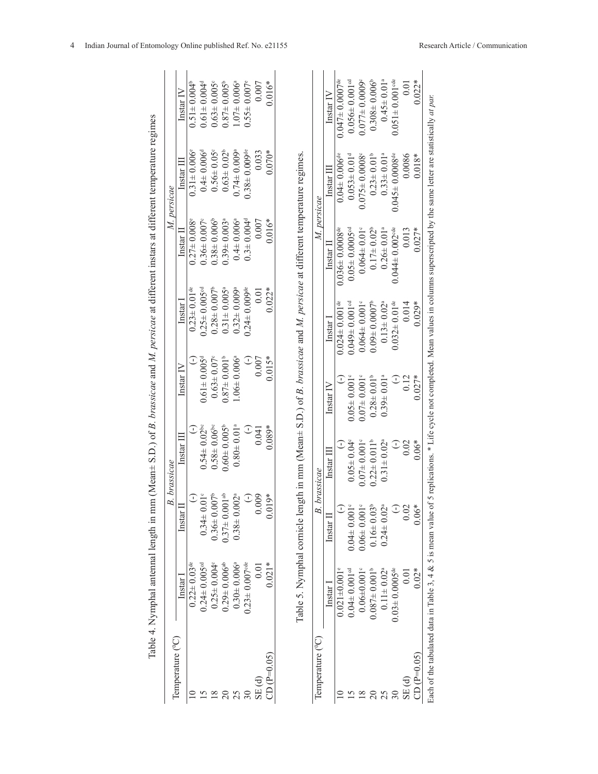|                               |                                 |                                | <b>B.</b> brassicae           |                               |                                 |                                                                                                                                                                                             | M. persicae                      |                                  |
|-------------------------------|---------------------------------|--------------------------------|-------------------------------|-------------------------------|---------------------------------|---------------------------------------------------------------------------------------------------------------------------------------------------------------------------------------------|----------------------------------|----------------------------------|
| Temperature ( <sup>0</sup> C) | $last$                          | Instar J                       | Instar III                    | $last IV$                     | $l$ nstar $l$                   | $[$ nstar $[$                                                                                                                                                                               | Instar III                       | Instar IV                        |
|                               | $0.22 \pm 0.03$ <sup>de</sup>   | $\bigcirc$                     |                               |                               | $0.23 \pm 0.01$ <sup>de</sup>   | $0.27 \pm 0.008$                                                                                                                                                                            | $0.31 \pm 0.006$ <sup>e</sup>    | $0.51 \pm 0.004^b$               |
|                               | $0.24 \pm 0.005$ <sup>cd</sup>  | $0.34 \pm 0.01$ °              | $0.54 \pm 0.02$ <sup>bc</sup> | $0.61 \pm 0.005$ <sup>d</sup> | $0.25 \pm 0.005$ <sup>cd</sup>  | $0.36 \pm 0.007$                                                                                                                                                                            | $0.4 \pm 0.006$ <sup>d</sup>     | $0.61 \pm 0.004$ <sup>d</sup>    |
|                               | $0.25 \pm 0.004$                | $0.36 \pm 0.007^{\circ}$       | $0.58 \pm 0.06$ <sup>bc</sup> | $0.63 \pm 0.07$ <sup>c</sup>  | $0.28 \pm 0.007^b$              | $0.38 \pm 0.006$ <sup>t</sup>                                                                                                                                                               | $0.56 \pm 0.05$ °                | $0.63 \pm 0.005$                 |
| $\approx$                     | $0.29 \pm 0.006$ <sup>ab</sup>  | $0.37 \pm 0.001$ <sup>ab</sup> | $0.60 \pm 0.005$ <sup>b</sup> | $0.87 \pm 0.001$ <sup>b</sup> | $0.31 \pm 0.005$ <sup>a</sup>   | $0.39 \pm 0.003$                                                                                                                                                                            | $0.63 \pm 0.02^b$                | $0.87 \pm 0.005^{\circ}$         |
| 25                            | $0.30 \pm 0.006$ <sup>a</sup>   | $0.38 \pm 0.002$               | $0.80 \pm 0.01$ <sup>a</sup>  | $1.06 \pm 0.006$ <sup>a</sup> | $0.32 \pm 0.009$ ª              | $0.4 \pm 0.006$                                                                                                                                                                             | $0.74 \pm 0.009$ <sup>a</sup>    | $1.07 = 0.006$ <sup>a</sup>      |
|                               | $0.23 \pm 0.007$ <sup>cde</sup> | $\bigcirc$                     | J                             | $\bigcup$                     | $0.24 \pm 0.009$ <sup>de</sup>  | $0.3 \pm 0.004$ <sup>d</sup>                                                                                                                                                                | $0.38 \pm 0.009$ <sup>de</sup>   | $0.55 \pm 0.007$ <sup>e</sup>    |
| SE(d)                         | 0.01                            | 0.009                          | 0.041                         | 0.007                         | 0.01                            | 0.007                                                                                                                                                                                       | 0.033                            | 0.007                            |
| $CD(P=0.05)$                  | $0.021*$                        | $0.019*$                       | $0.089*$                      | $0.015*$                      | $0.022*$                        | $0.016*$                                                                                                                                                                                    | $0.070*$                         | $0.016*$                         |
| Temperature ( <sup>o</sup> C) |                                 | B.                             | brassicae                     |                               |                                 | M. persicae                                                                                                                                                                                 |                                  |                                  |
|                               | $[{\rm nstar}]$                 | $Instar$ II                    | $instar II$                   | $instar \text{IV}$            | Instar <sup>1</sup>             | Instar I                                                                                                                                                                                    | $instar$ $II1$                   | $Instant IV$                     |
|                               | $0.021 \pm 0.001$ <sup>e</sup>  |                                |                               | J                             | $0.024 \pm 0.001$ <sup>de</sup> | $0.036 \pm 0.0008$ <sup>de</sup>                                                                                                                                                            | $0.04 \pm 0.006$ <sup>de</sup>   | $0.047 \pm 0.0007$ <sup>de</sup> |
|                               | $0.04 \pm 0.001$ <sup>cd</sup>  | $0.04 \pm 0.001$               | $0.05 \pm 0.04$ <sup>c</sup>  | $0.05 \pm 0.001$ <sup>c</sup> | $0.049 \pm 0.001$ <sup>cd</sup> | $0.05 \pm 0.0005$ <sup>od</sup>                                                                                                                                                             | $0.053 \pm 0.01$ <sup>d</sup>    | $0.056 \pm 0.001$ <sup>cd</sup>  |
| 18                            | $0.06 + 0.001$ <sup>c</sup>     | $0.06 \pm 0.001$               | $0.07 \pm 0.001$ <sup>c</sup> | $0.07 \pm 0.001$ <sup>c</sup> | $0.064 \pm 0.001$ <sup>c</sup>  | $0.064 \pm 0.01$ °                                                                                                                                                                          | $0.075 \pm 0.0008$               | $0.077 \pm 0.0009$               |
| $\approx$                     | $0.087 \pm 0.001$ <sup>b</sup>  | $0.16 \pm 0.03$                | $0.22 \pm 0.011$ <sup>b</sup> | $0.28 \pm 0.01$ <sup>b</sup>  | $0.09 + 0.0007$                 | $0.17 \pm 0.02^b$                                                                                                                                                                           | $0.23 \pm 0.01$ <sup>b</sup>     | $0.308 \pm 0.006$ <sup>b</sup>   |
|                               | $0.11 \pm 0.02^{\circ}$         | $0.24 \pm 0.02$                | $0.31 \pm 0.02$ <sup>a</sup>  | $0.39 \pm 0.01$ <sup>a</sup>  | $0.13 \pm 0.02^{\circ}$         | $0.26 \pm 0.01$ <sup>a</sup>                                                                                                                                                                | $0.33 \pm 0.01$ ª                | $0.45 \pm 0.01$ <sup>a</sup>     |
|                               | $0.03 \pm 0.0005$ <sup>de</sup> | $\overline{L}$                 | $\widehat{\cdot}$             | $\widehat{\cdot}$             | $0.032 \pm 0.01$ <sup>de</sup>  | $0.044 \pm 0.002$ <sup>cde</sup>                                                                                                                                                            | $0.045 \pm 0.0008$ <sup>de</sup> | $0.051 \pm 0.001$ <sup>de</sup>  |
| SE(d)                         | 0.01                            | 0.02                           | 0.02                          | 0.12                          | 0.014                           | 0.013                                                                                                                                                                                       | 0.0086                           | 0.01                             |
| $CD(P=0.05)$                  | $0.02*$                         | $0.06*$                        | $0.06*$                       | $0.027*$                      | $0.029*$                        | $0.027*$                                                                                                                                                                                    | $0.018*$                         | $0.022*$                         |
|                               |                                 |                                |                               |                               |                                 | Each of the tabulated data in Table 3, 4 & 5 is mean value of 5 replications. * Life cycle not completed. Mean values in columns superscripted by the same letter are statistically at par. |                                  |                                  |